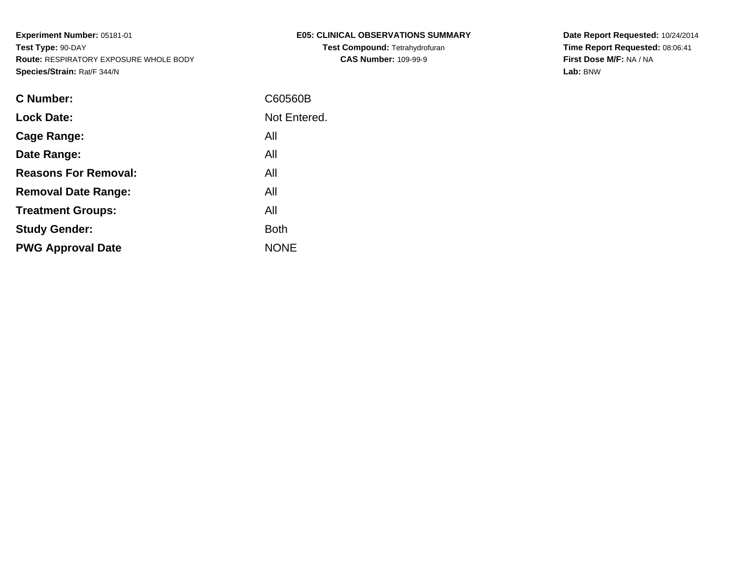| E05: CLINICAL OBSERVATIONS SUMMARY    |
|---------------------------------------|
| <b>Test Compound: Tetrahydrofuran</b> |
| <b>CAS Number: 109-99-9</b>           |

**Date Report Requested:** 10/24/2014 **Time Report Requested:** 08:06:41**First Dose M/F:** NA / NA**Lab:** BNW

| C Number:                   | C60560B      |
|-----------------------------|--------------|
| <b>Lock Date:</b>           | Not Entered. |
| Cage Range:                 | All          |
| Date Range:                 | All          |
| <b>Reasons For Removal:</b> | All          |
| <b>Removal Date Range:</b>  | All          |
| <b>Treatment Groups:</b>    | All          |
| <b>Study Gender:</b>        | <b>Both</b>  |
| <b>PWG Approval Date</b>    | <b>NONE</b>  |
|                             |              |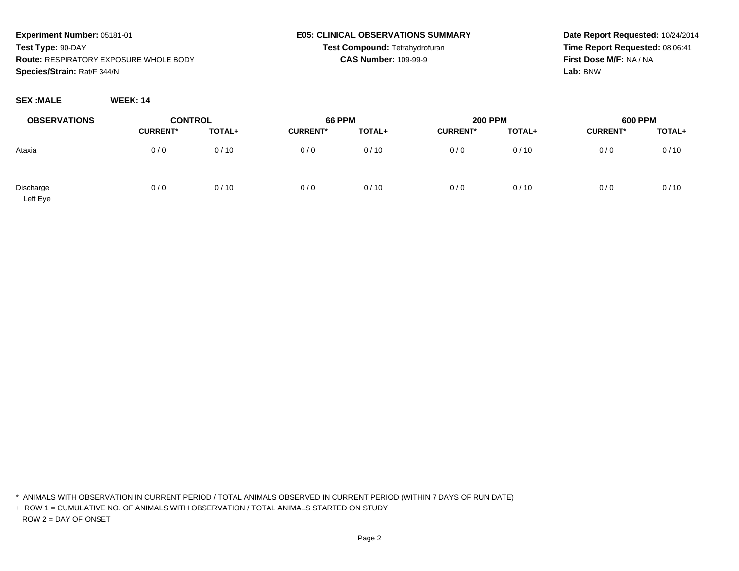**Date Report Requested:** 10/24/2014**Time Report Requested:** 08:06:41**First Dose M/F:** NA / NA**Lab:** BNW

| <b>SEX :MALE</b> | <b>WEEK: 14</b> |  |
|------------------|-----------------|--|
|                  |                 |  |

| <b>OBSERVATIONS</b>   | <b>CONTROL</b>  |        | <b>66 PPM</b>   |        | <b>200 PPM</b>  |        | <b>600 PPM</b>  |        |
|-----------------------|-----------------|--------|-----------------|--------|-----------------|--------|-----------------|--------|
|                       | <b>CURRENT*</b> | TOTAL+ | <b>CURRENT*</b> | TOTAL+ | <b>CURRENT*</b> | TOTAL+ | <b>CURRENT*</b> | TOTAL+ |
| Ataxia                | 0/0             | 0/10   | 0/0             | 0/10   | 0/0             | 0/10   | 0/0             | 0/10   |
| Discharge<br>Left Eye | 0/0             | 0/10   | 0/0             | 0/10   | 0/0             | 0/10   | 0/0             | 0/10   |

\* ANIMALS WITH OBSERVATION IN CURRENT PERIOD / TOTAL ANIMALS OBSERVED IN CURRENT PERIOD (WITHIN 7 DAYS OF RUN DATE)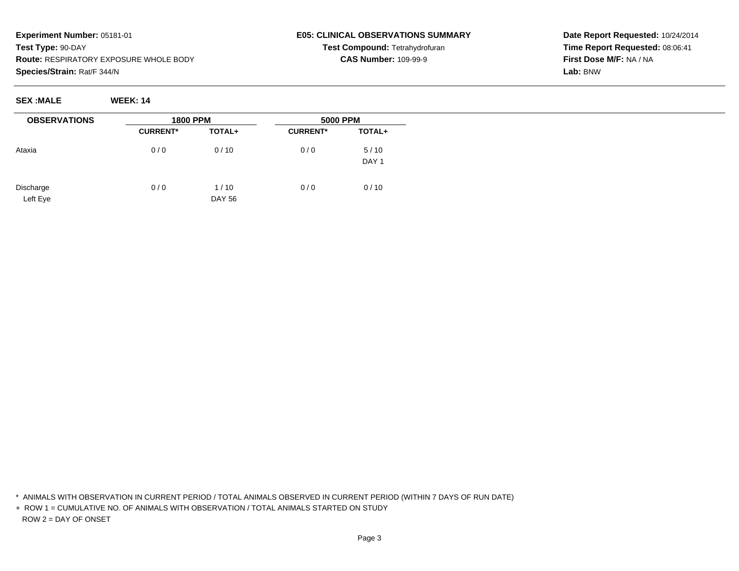#### **E05: CLINICAL OBSERVATIONS SUMMARYTest Compound:** Tetrahydrofuran**CAS Number:** 109-99-9

**Date Report Requested:** 10/24/2014**Time Report Requested:** 08:06:41**First Dose M/F:** NA / NA**Lab:** BNW

**SEX :MALE WEEK: 14**

| <b>OBSERVATIONS</b>   | <b>1800 PPM</b> |                       | <b>5000 PPM</b> |                          |
|-----------------------|-----------------|-----------------------|-----------------|--------------------------|
|                       | <b>CURRENT*</b> | TOTAL+                | <b>CURRENT*</b> | TOTAL+                   |
| Ataxia                | 0/0             | 0/10                  | 0/0             | 5/10<br>DAY <sub>1</sub> |
| Discharge<br>Left Eye | 0/0             | 1/10<br><b>DAY 56</b> | 0/0             | 0/10                     |

\* ANIMALS WITH OBSERVATION IN CURRENT PERIOD / TOTAL ANIMALS OBSERVED IN CURRENT PERIOD (WITHIN 7 DAYS OF RUN DATE)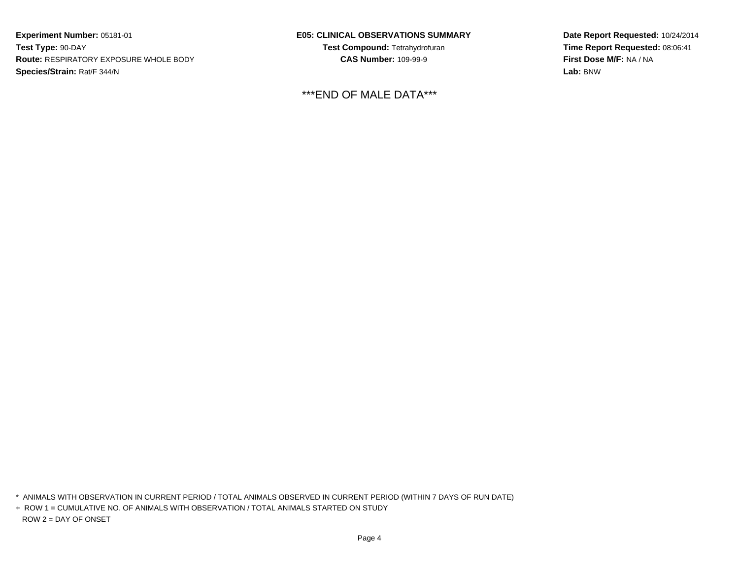**E05: CLINICAL OBSERVATIONS SUMMARYTest Compound:** Tetrahydrofuran**CAS Number:** 109-99-9

\*\*\*END OF MALE DATA\*\*\*

**Date Report Requested:** 10/24/2014**Time Report Requested:** 08:06:41**First Dose M/F:** NA / NA**Lab:** BNW

\* ANIMALS WITH OBSERVATION IN CURRENT PERIOD / TOTAL ANIMALS OBSERVED IN CURRENT PERIOD (WITHIN 7 DAYS OF RUN DATE)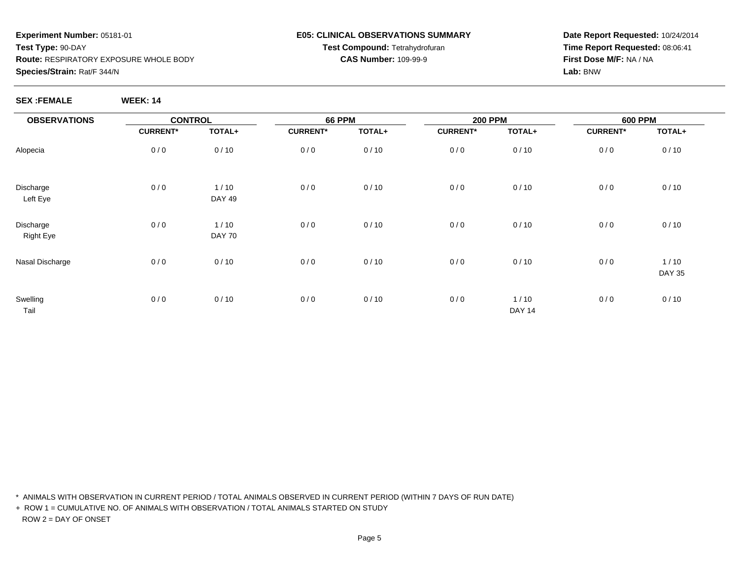#### **E05: CLINICAL OBSERVATIONS SUMMARYTest Compound:** Tetrahydrofuran**CAS Number:** 109-99-9

**Date Report Requested:** 10/24/2014**Time Report Requested:** 08:06:41**First Dose M/F:** NA / NA**Lab:** BNW

**SEX :FEMALE WEEK: 14**

| <b>OBSERVATIONS</b>           | <b>CONTROL</b>  |                       | <b>66 PPM</b>   |        | <b>200 PPM</b>  |                         | <b>600 PPM</b>  |                       |
|-------------------------------|-----------------|-----------------------|-----------------|--------|-----------------|-------------------------|-----------------|-----------------------|
|                               | <b>CURRENT*</b> | TOTAL+                | <b>CURRENT*</b> | TOTAL+ | <b>CURRENT*</b> | TOTAL+                  | <b>CURRENT*</b> | TOTAL+                |
| Alopecia                      | 0/0             | 0/10                  | 0/0             | 0/10   | 0/0             | 0/10                    | 0/0             | 0/10                  |
| Discharge<br>Left Eye         | 0/0             | 1/10<br><b>DAY 49</b> | 0/0             | 0/10   | 0/0             | 0/10                    | 0/0             | 0/10                  |
| Discharge<br><b>Right Eye</b> | 0/0             | 1/10<br><b>DAY 70</b> | 0/0             | 0/10   | 0/0             | 0/10                    | 0/0             | 0/10                  |
| Nasal Discharge               | 0/0             | 0/10                  | 0/0             | 0/10   | 0/0             | 0/10                    | 0/0             | 1/10<br><b>DAY 35</b> |
| Swelling<br>Tail              | 0/0             | 0/10                  | 0/0             | 0/10   | 0/0             | $1/10$<br><b>DAY 14</b> | 0/0             | 0/10                  |

\* ANIMALS WITH OBSERVATION IN CURRENT PERIOD / TOTAL ANIMALS OBSERVED IN CURRENT PERIOD (WITHIN 7 DAYS OF RUN DATE)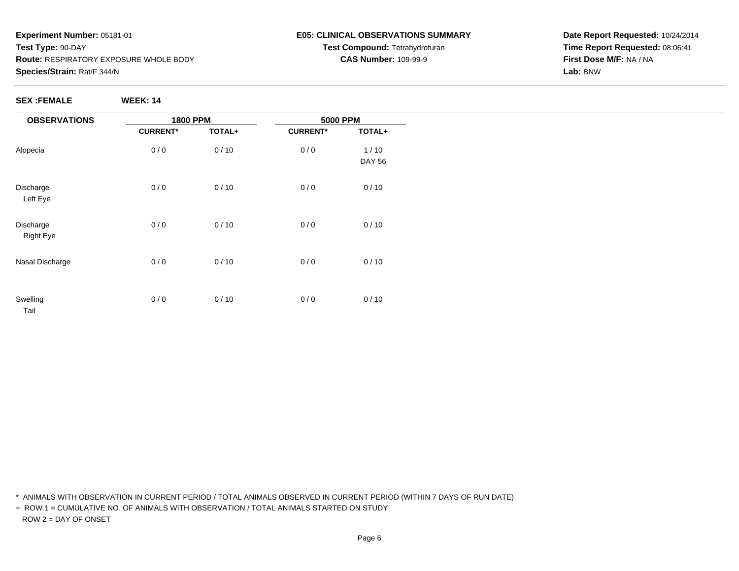#### **E05: CLINICAL OBSERVATIONS SUMMARYTest Compound:** Tetrahydrofuran**CAS Number:** 109-99-9

**Date Report Requested:** 10/24/2014**Time Report Requested:** 08:06:41**First Dose M/F:** NA / NA**Lab:** BNW

**SEX :FEMALE WEEK: 14**

| <b>OBSERVATIONS</b>           | <b>1800 PPM</b> |        | <b>5000 PPM</b> |                         |
|-------------------------------|-----------------|--------|-----------------|-------------------------|
|                               | <b>CURRENT*</b> | TOTAL+ | <b>CURRENT*</b> | TOTAL+                  |
| Alopecia                      | 0/0             | 0/10   | 0/0             | $1/10$<br><b>DAY 56</b> |
| Discharge<br>Left Eye         | 0/0             | 0/10   | 0/0             | 0/10                    |
| Discharge<br><b>Right Eye</b> | 0/0             | 0/10   | 0/0             | 0/10                    |
| Nasal Discharge               | 0/0             | 0/10   | 0/0             | 0/10                    |
| Swelling<br>Tail              | 0/0             | 0/10   | 0/0             | 0/10                    |

\* ANIMALS WITH OBSERVATION IN CURRENT PERIOD / TOTAL ANIMALS OBSERVED IN CURRENT PERIOD (WITHIN 7 DAYS OF RUN DATE)